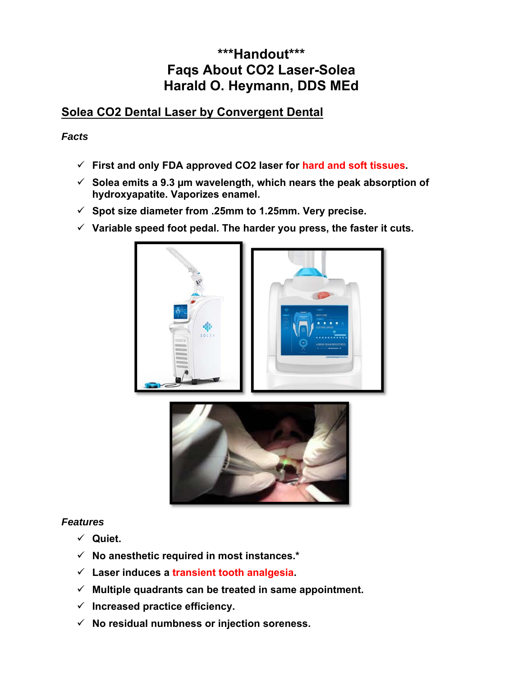# **\*\*\*Handout\*\*\* Faqs About CO2 Laser-Solea Harald O. Heymann, DDS MEd**

## **Solea CO2 Dental Laser by Convergent Dental**

### *Facts*

- **First and only FDA approved CO2 laser for hard and soft tissues.**
- **Solea emits a 9.3 µm wavelength, which nears the peak absorption of hydroxyapatite. Vaporizes enamel.**
- **Spot size diameter from .25mm to 1.25mm. Very precise.**
- **Variable speed foot pedal. The harder you press, the faster it cuts.**





#### *Features*

- **Quiet.**
- **No anesthetic required in most instances.\***
- **Laser induces a transient tooth analgesia.**
- **Multiple quadrants can be treated in same appointment.**
- **Increased practice efficiency.**
- **No residual numbness or injection soreness.**